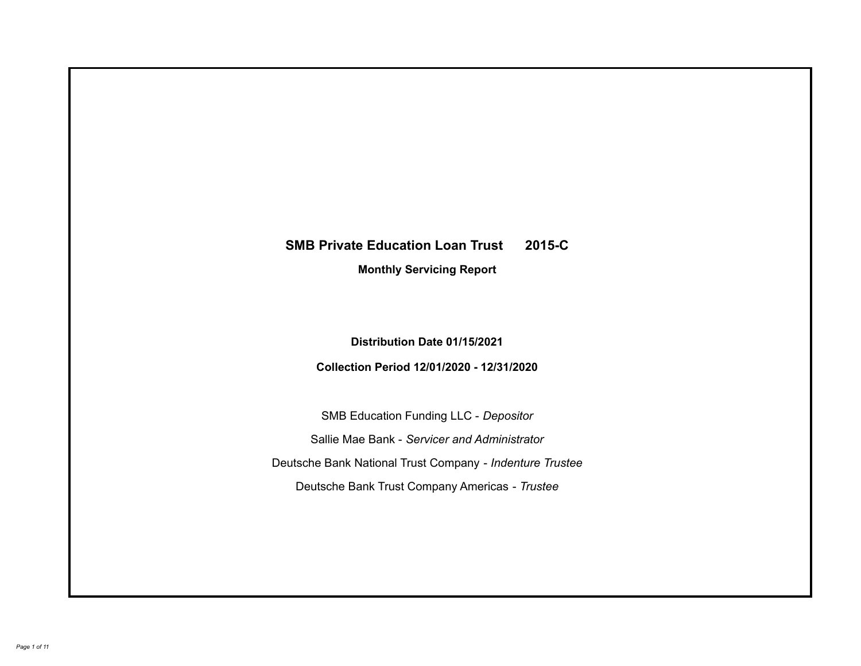# **SMB Private Education Loan Trust 2015-C Monthly Servicing Report**

**Distribution Date 01/15/2021**

**Collection Period 12/01/2020 - 12/31/2020**

SMB Education Funding LLC - *Depositor* Sallie Mae Bank - *Servicer and Administrator* Deutsche Bank National Trust Company - *Indenture Trustee* Deutsche Bank Trust Company Americas - *Trustee*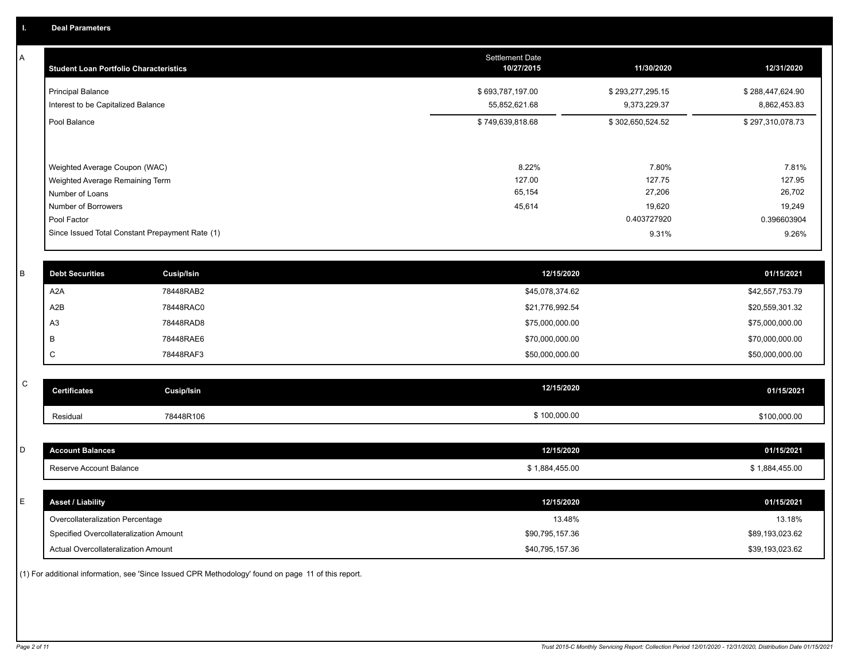A

| <b>Student Loan Portfolio Characteristics</b>                  | <b>Settlement Date</b><br>10/27/2015 | 11/30/2020                       | 12/31/2020                       |
|----------------------------------------------------------------|--------------------------------------|----------------------------------|----------------------------------|
| <b>Principal Balance</b><br>Interest to be Capitalized Balance | \$693,787,197.00<br>55,852,621.68    | \$293,277,295.15<br>9,373,229.37 | \$288,447,624.90<br>8,862,453.83 |
| Pool Balance                                                   | \$749,639,818.68                     | \$302,650,524.52                 | \$297,310,078.73                 |
| Weighted Average Coupon (WAC)                                  | 8.22%                                | 7.80%                            | 7.81%                            |
| Weighted Average Remaining Term                                | 127.00                               | 127.75                           | 127.95                           |
| Number of Loans                                                | 65,154                               | 27,206                           | 26,702                           |
| Number of Borrowers                                            | 45,614                               | 19,620                           | 19,249                           |
| Pool Factor                                                    |                                      | 0.403727920                      | 0.396603904                      |
| Since Issued Total Constant Prepayment Rate (1)                |                                      | 9.31%                            | 9.26%                            |

| <b>Debt Securities</b> | Cusip/Isin | 12/15/2020      | 01/15/2021      |
|------------------------|------------|-----------------|-----------------|
| A2A                    | 78448RAB2  | \$45,078,374.62 | \$42,557,753.79 |
| A2B                    | 78448RAC0  | \$21,776,992.54 | \$20,559,301.32 |
| A <sub>3</sub>         | 78448RAD8  | \$75,000,000.00 | \$75,000,000.00 |
| B                      | 78448RAE6  | \$70,000,000.00 | \$70,000,000.00 |
|                        | 78448RAF3  | \$50,000,000.00 | \$50,000,000.00 |

| $\sim$<br>ັ | <b>Certificates</b> | Cusip/Isin | 12/15/2020   | 01/15/2021   |
|-------------|---------------------|------------|--------------|--------------|
|             | Residual            | 78448R106  | \$100,000.00 | \$100,000.00 |

| <b>Account Balances</b>                | 12/15/2020      | 01/15/2021      |
|----------------------------------------|-----------------|-----------------|
| Reserve Account Balance                | \$1,884,455.00  | \$1,884,455.00  |
|                                        |                 |                 |
| <b>Asset / Liability</b>               | 12/15/2020      | 01/15/2021      |
| Overcollateralization Percentage       | 13.48%          | 13.18%          |
| Specified Overcollateralization Amount | \$90,795,157.36 | \$89,193,023.62 |
|                                        |                 |                 |

(1) For additional information, see 'Since Issued CPR Methodology' found on page 11 of this report.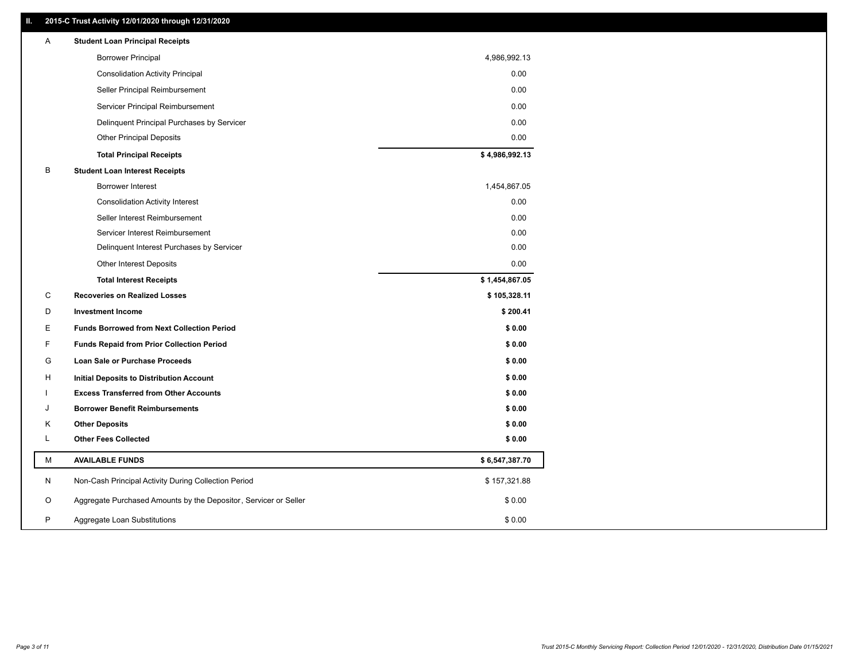#### **II. 2015-C Trust Activity 12/01/2020 through 12/31/2020**

| <b>Borrower Principal</b><br>4,986,992.13<br>0.00<br><b>Consolidation Activity Principal</b><br>0.00<br>Seller Principal Reimbursement<br>Servicer Principal Reimbursement<br>0.00<br>0.00<br>Delinquent Principal Purchases by Servicer<br>0.00<br><b>Other Principal Deposits</b><br>\$4,986,992.13<br><b>Total Principal Receipts</b><br>в<br><b>Student Loan Interest Receipts</b><br>1,454,867.05<br><b>Borrower Interest</b><br>0.00<br><b>Consolidation Activity Interest</b><br>0.00<br>Seller Interest Reimbursement<br>Servicer Interest Reimbursement<br>0.00<br>0.00<br>Delinquent Interest Purchases by Servicer<br>0.00<br><b>Other Interest Deposits</b><br>\$1,454,867.05<br><b>Total Interest Receipts</b><br>С<br><b>Recoveries on Realized Losses</b><br>\$105,328.11<br>D<br><b>Investment Income</b><br>\$200.41<br>\$0.00<br>Е<br><b>Funds Borrowed from Next Collection Period</b><br>F<br><b>Funds Repaid from Prior Collection Period</b><br>\$0.00<br>G<br>\$0.00<br>Loan Sale or Purchase Proceeds<br>\$0.00<br>н<br>Initial Deposits to Distribution Account<br>\$0.00<br><b>Excess Transferred from Other Accounts</b><br><b>Borrower Benefit Reimbursements</b><br>\$0.00<br>J<br>\$0.00<br><b>Other Deposits</b><br>Κ<br>L<br><b>Other Fees Collected</b><br>\$0.00<br>М<br><b>AVAILABLE FUNDS</b><br>\$6,547,387.70<br>\$157,321.88<br>N<br>Non-Cash Principal Activity During Collection Period<br>Aggregate Purchased Amounts by the Depositor, Servicer or Seller<br>\$0.00<br>O<br>P<br>\$0.00<br>Aggregate Loan Substitutions | Α | <b>Student Loan Principal Receipts</b> |  |
|--------------------------------------------------------------------------------------------------------------------------------------------------------------------------------------------------------------------------------------------------------------------------------------------------------------------------------------------------------------------------------------------------------------------------------------------------------------------------------------------------------------------------------------------------------------------------------------------------------------------------------------------------------------------------------------------------------------------------------------------------------------------------------------------------------------------------------------------------------------------------------------------------------------------------------------------------------------------------------------------------------------------------------------------------------------------------------------------------------------------------------------------------------------------------------------------------------------------------------------------------------------------------------------------------------------------------------------------------------------------------------------------------------------------------------------------------------------------------------------------------------------------------------------------------------------------|---|----------------------------------------|--|
|                                                                                                                                                                                                                                                                                                                                                                                                                                                                                                                                                                                                                                                                                                                                                                                                                                                                                                                                                                                                                                                                                                                                                                                                                                                                                                                                                                                                                                                                                                                                                                    |   |                                        |  |
|                                                                                                                                                                                                                                                                                                                                                                                                                                                                                                                                                                                                                                                                                                                                                                                                                                                                                                                                                                                                                                                                                                                                                                                                                                                                                                                                                                                                                                                                                                                                                                    |   |                                        |  |
|                                                                                                                                                                                                                                                                                                                                                                                                                                                                                                                                                                                                                                                                                                                                                                                                                                                                                                                                                                                                                                                                                                                                                                                                                                                                                                                                                                                                                                                                                                                                                                    |   |                                        |  |
|                                                                                                                                                                                                                                                                                                                                                                                                                                                                                                                                                                                                                                                                                                                                                                                                                                                                                                                                                                                                                                                                                                                                                                                                                                                                                                                                                                                                                                                                                                                                                                    |   |                                        |  |
|                                                                                                                                                                                                                                                                                                                                                                                                                                                                                                                                                                                                                                                                                                                                                                                                                                                                                                                                                                                                                                                                                                                                                                                                                                                                                                                                                                                                                                                                                                                                                                    |   |                                        |  |
|                                                                                                                                                                                                                                                                                                                                                                                                                                                                                                                                                                                                                                                                                                                                                                                                                                                                                                                                                                                                                                                                                                                                                                                                                                                                                                                                                                                                                                                                                                                                                                    |   |                                        |  |
|                                                                                                                                                                                                                                                                                                                                                                                                                                                                                                                                                                                                                                                                                                                                                                                                                                                                                                                                                                                                                                                                                                                                                                                                                                                                                                                                                                                                                                                                                                                                                                    |   |                                        |  |
|                                                                                                                                                                                                                                                                                                                                                                                                                                                                                                                                                                                                                                                                                                                                                                                                                                                                                                                                                                                                                                                                                                                                                                                                                                                                                                                                                                                                                                                                                                                                                                    |   |                                        |  |
|                                                                                                                                                                                                                                                                                                                                                                                                                                                                                                                                                                                                                                                                                                                                                                                                                                                                                                                                                                                                                                                                                                                                                                                                                                                                                                                                                                                                                                                                                                                                                                    |   |                                        |  |
|                                                                                                                                                                                                                                                                                                                                                                                                                                                                                                                                                                                                                                                                                                                                                                                                                                                                                                                                                                                                                                                                                                                                                                                                                                                                                                                                                                                                                                                                                                                                                                    |   |                                        |  |
|                                                                                                                                                                                                                                                                                                                                                                                                                                                                                                                                                                                                                                                                                                                                                                                                                                                                                                                                                                                                                                                                                                                                                                                                                                                                                                                                                                                                                                                                                                                                                                    |   |                                        |  |
|                                                                                                                                                                                                                                                                                                                                                                                                                                                                                                                                                                                                                                                                                                                                                                                                                                                                                                                                                                                                                                                                                                                                                                                                                                                                                                                                                                                                                                                                                                                                                                    |   |                                        |  |
|                                                                                                                                                                                                                                                                                                                                                                                                                                                                                                                                                                                                                                                                                                                                                                                                                                                                                                                                                                                                                                                                                                                                                                                                                                                                                                                                                                                                                                                                                                                                                                    |   |                                        |  |
|                                                                                                                                                                                                                                                                                                                                                                                                                                                                                                                                                                                                                                                                                                                                                                                                                                                                                                                                                                                                                                                                                                                                                                                                                                                                                                                                                                                                                                                                                                                                                                    |   |                                        |  |
|                                                                                                                                                                                                                                                                                                                                                                                                                                                                                                                                                                                                                                                                                                                                                                                                                                                                                                                                                                                                                                                                                                                                                                                                                                                                                                                                                                                                                                                                                                                                                                    |   |                                        |  |
|                                                                                                                                                                                                                                                                                                                                                                                                                                                                                                                                                                                                                                                                                                                                                                                                                                                                                                                                                                                                                                                                                                                                                                                                                                                                                                                                                                                                                                                                                                                                                                    |   |                                        |  |
|                                                                                                                                                                                                                                                                                                                                                                                                                                                                                                                                                                                                                                                                                                                                                                                                                                                                                                                                                                                                                                                                                                                                                                                                                                                                                                                                                                                                                                                                                                                                                                    |   |                                        |  |
|                                                                                                                                                                                                                                                                                                                                                                                                                                                                                                                                                                                                                                                                                                                                                                                                                                                                                                                                                                                                                                                                                                                                                                                                                                                                                                                                                                                                                                                                                                                                                                    |   |                                        |  |
|                                                                                                                                                                                                                                                                                                                                                                                                                                                                                                                                                                                                                                                                                                                                                                                                                                                                                                                                                                                                                                                                                                                                                                                                                                                                                                                                                                                                                                                                                                                                                                    |   |                                        |  |
|                                                                                                                                                                                                                                                                                                                                                                                                                                                                                                                                                                                                                                                                                                                                                                                                                                                                                                                                                                                                                                                                                                                                                                                                                                                                                                                                                                                                                                                                                                                                                                    |   |                                        |  |
|                                                                                                                                                                                                                                                                                                                                                                                                                                                                                                                                                                                                                                                                                                                                                                                                                                                                                                                                                                                                                                                                                                                                                                                                                                                                                                                                                                                                                                                                                                                                                                    |   |                                        |  |
|                                                                                                                                                                                                                                                                                                                                                                                                                                                                                                                                                                                                                                                                                                                                                                                                                                                                                                                                                                                                                                                                                                                                                                                                                                                                                                                                                                                                                                                                                                                                                                    |   |                                        |  |
|                                                                                                                                                                                                                                                                                                                                                                                                                                                                                                                                                                                                                                                                                                                                                                                                                                                                                                                                                                                                                                                                                                                                                                                                                                                                                                                                                                                                                                                                                                                                                                    |   |                                        |  |
|                                                                                                                                                                                                                                                                                                                                                                                                                                                                                                                                                                                                                                                                                                                                                                                                                                                                                                                                                                                                                                                                                                                                                                                                                                                                                                                                                                                                                                                                                                                                                                    |   |                                        |  |
|                                                                                                                                                                                                                                                                                                                                                                                                                                                                                                                                                                                                                                                                                                                                                                                                                                                                                                                                                                                                                                                                                                                                                                                                                                                                                                                                                                                                                                                                                                                                                                    |   |                                        |  |
|                                                                                                                                                                                                                                                                                                                                                                                                                                                                                                                                                                                                                                                                                                                                                                                                                                                                                                                                                                                                                                                                                                                                                                                                                                                                                                                                                                                                                                                                                                                                                                    |   |                                        |  |
|                                                                                                                                                                                                                                                                                                                                                                                                                                                                                                                                                                                                                                                                                                                                                                                                                                                                                                                                                                                                                                                                                                                                                                                                                                                                                                                                                                                                                                                                                                                                                                    |   |                                        |  |
|                                                                                                                                                                                                                                                                                                                                                                                                                                                                                                                                                                                                                                                                                                                                                                                                                                                                                                                                                                                                                                                                                                                                                                                                                                                                                                                                                                                                                                                                                                                                                                    |   |                                        |  |
|                                                                                                                                                                                                                                                                                                                                                                                                                                                                                                                                                                                                                                                                                                                                                                                                                                                                                                                                                                                                                                                                                                                                                                                                                                                                                                                                                                                                                                                                                                                                                                    |   |                                        |  |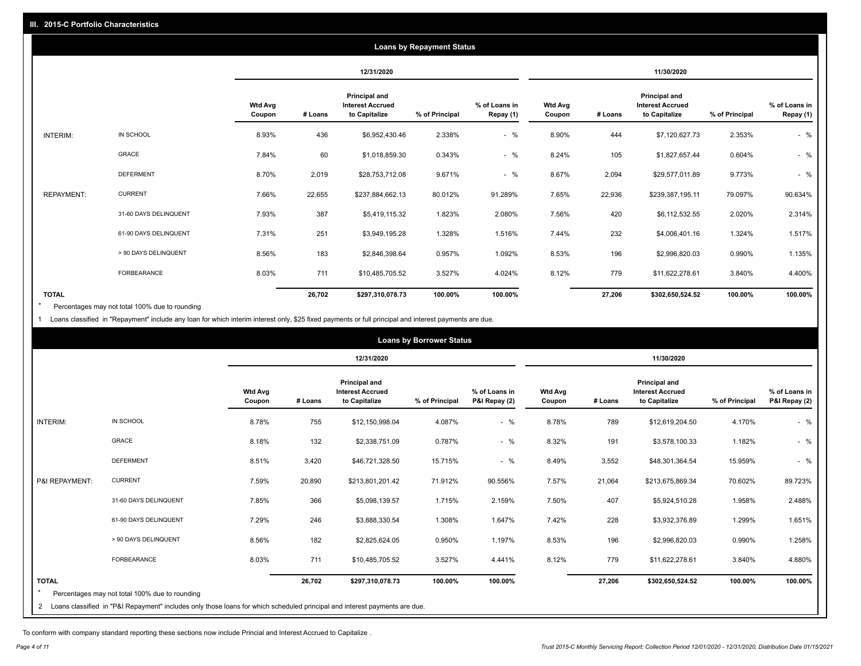| <b>Loans by Repayment Status</b> |                       |                          |         |                                                           |                |                            |                          |         |                                                           |                |                            |
|----------------------------------|-----------------------|--------------------------|---------|-----------------------------------------------------------|----------------|----------------------------|--------------------------|---------|-----------------------------------------------------------|----------------|----------------------------|
|                                  |                       |                          |         | 12/31/2020                                                |                |                            | 11/30/2020               |         |                                                           |                |                            |
|                                  |                       | <b>Wtd Avg</b><br>Coupon | # Loans | Principal and<br><b>Interest Accrued</b><br>to Capitalize | % of Principal | % of Loans in<br>Repay (1) | <b>Wtd Avg</b><br>Coupon | # Loans | Principal and<br><b>Interest Accrued</b><br>to Capitalize | % of Principal | % of Loans in<br>Repay (1) |
| INTERIM:                         | IN SCHOOL             | 8.93%                    | 436     | \$6,952,430.46                                            | 2.338%         | $-$ %                      | 8.90%                    | 444     | \$7,120,627.73                                            | 2.353%         | $-$ %                      |
|                                  | GRACE                 | 7.84%                    | 60      | \$1,018,859.30                                            | 0.343%         | $-$ %                      | 8.24%                    | 105     | \$1,827,657.44                                            | 0.604%         | $-$ %                      |
|                                  | <b>DEFERMENT</b>      | 8.70%                    | 2,019   | \$28,753,712.08                                           | 9.671%         | $-$ %                      | 8.67%                    | 2,094   | \$29,577,011.89                                           | 9.773%         | $-$ %                      |
| <b>REPAYMENT:</b>                | <b>CURRENT</b>        | 7.66%                    | 22,655  | \$237,884,662.13                                          | 80.012%        | 91.289%                    | 7.65%                    | 22,936  | \$239,387,195.11                                          | 79.097%        | 90.634%                    |
|                                  | 31-60 DAYS DELINQUENT | 7.93%                    | 387     | \$5,419,115.32                                            | 1.823%         | 2.080%                     | 7.56%                    | 420     | \$6,112,532.55                                            | 2.020%         | 2.314%                     |
|                                  | 61-90 DAYS DELINQUENT | 7.31%                    | 251     | \$3,949,195.28                                            | 1.328%         | 1.516%                     | 7.44%                    | 232     | \$4,006,401.16                                            | 1.324%         | 1.517%                     |
|                                  | > 90 DAYS DELINQUENT  | 8.56%                    | 183     | \$2,846,398.64                                            | 0.957%         | 1.092%                     | 8.53%                    | 196     | \$2,996,820.03                                            | 0.990%         | 1.135%                     |
|                                  | FORBEARANCE           | 8.03%                    | 711     | \$10,485,705.52                                           | 3.527%         | 4.024%                     | 8.12%                    | 779     | \$11,622,278.61                                           | 3.840%         | 4.400%                     |
| <b>TOTAL</b>                     |                       |                          | 26,702  | \$297,310,078.73                                          | 100.00%        | 100.00%                    |                          | 27,206  | \$302,650,524.52                                          | 100.00%        | 100.00%                    |

Percentages may not total 100% due to rounding \*

1 Loans classified in "Repayment" include any loan for which interim interest only, \$25 fixed payments or full principal and interest payments are due.

|                 | <b>Loans by Borrower Status</b>                                                                                            |                          |         |                                                                  |                |                                |                          |         |                                                                  |                |                                |
|-----------------|----------------------------------------------------------------------------------------------------------------------------|--------------------------|---------|------------------------------------------------------------------|----------------|--------------------------------|--------------------------|---------|------------------------------------------------------------------|----------------|--------------------------------|
|                 |                                                                                                                            |                          |         | 12/31/2020                                                       |                |                                |                          |         | 11/30/2020                                                       |                |                                |
|                 |                                                                                                                            | <b>Wtd Avg</b><br>Coupon | # Loans | <b>Principal and</b><br><b>Interest Accrued</b><br>to Capitalize | % of Principal | % of Loans in<br>P&I Repay (2) | <b>Wtd Avg</b><br>Coupon | # Loans | <b>Principal and</b><br><b>Interest Accrued</b><br>to Capitalize | % of Principal | % of Loans in<br>P&I Repay (2) |
| <b>INTERIM:</b> | IN SCHOOL                                                                                                                  | 8.78%                    | 755     | \$12,150,998.04                                                  | 4.087%         | $-$ %                          | 8.78%                    | 789     | \$12,619,204.50                                                  | 4.170%         | $-$ %                          |
|                 | <b>GRACE</b>                                                                                                               | 8.18%                    | 132     | \$2,338,751.09                                                   | 0.787%         | $-$ %                          | 8.32%                    | 191     | \$3,578,100.33                                                   | 1.182%         | $-$ %                          |
|                 | <b>DEFERMENT</b>                                                                                                           | 8.51%                    | 3,420   | \$46,721,328.50                                                  | 15.715%        | $-$ %                          | 8.49%                    | 3,552   | \$48,301,364.54                                                  | 15.959%        | $-$ %                          |
| P&I REPAYMENT:  | <b>CURRENT</b>                                                                                                             | 7.59%                    | 20,890  | \$213,801,201.42                                                 | 71.912%        | 90.556%                        | 7.57%                    | 21,064  | \$213,675,869.34                                                 | 70.602%        | 89.723%                        |
|                 | 31-60 DAYS DELINQUENT                                                                                                      | 7.85%                    | 366     | \$5,098,139.57                                                   | 1.715%         | 2.159%                         | 7.50%                    | 407     | \$5,924,510.28                                                   | 1.958%         | 2.488%                         |
|                 | 61-90 DAYS DELINQUENT                                                                                                      | 7.29%                    | 246     | \$3,888,330.54                                                   | 1.308%         | 1.647%                         | 7.42%                    | 228     | \$3,932,376.89                                                   | 1.299%         | 1.651%                         |
|                 | > 90 DAYS DELINQUENT                                                                                                       | 8.56%                    | 182     | \$2,825,624.05                                                   | 0.950%         | 1.197%                         | 8.53%                    | 196     | \$2,996,820.03                                                   | 0.990%         | 1.258%                         |
|                 | <b>FORBEARANCE</b>                                                                                                         | 8.03%                    | 711     | \$10,485,705.52                                                  | 3.527%         | 4.441%                         | 8.12%                    | 779     | \$11,622,278.61                                                  | 3.840%         | 4.880%                         |
| <b>TOTAL</b>    | Percentages may not total 100% due to rounding                                                                             |                          | 26,702  | \$297,310,078.73                                                 | 100.00%        | 100.00%                        |                          | 27,206  | \$302,650,524.52                                                 | 100.00%        | 100.00%                        |
| 2               | Loans classified in "P&I Repayment" includes only those loans for which scheduled principal and interest payments are due. |                          |         |                                                                  |                |                                |                          |         |                                                                  |                |                                |

To conform with company standard reporting these sections now include Princial and Interest Accrued to Capitalize .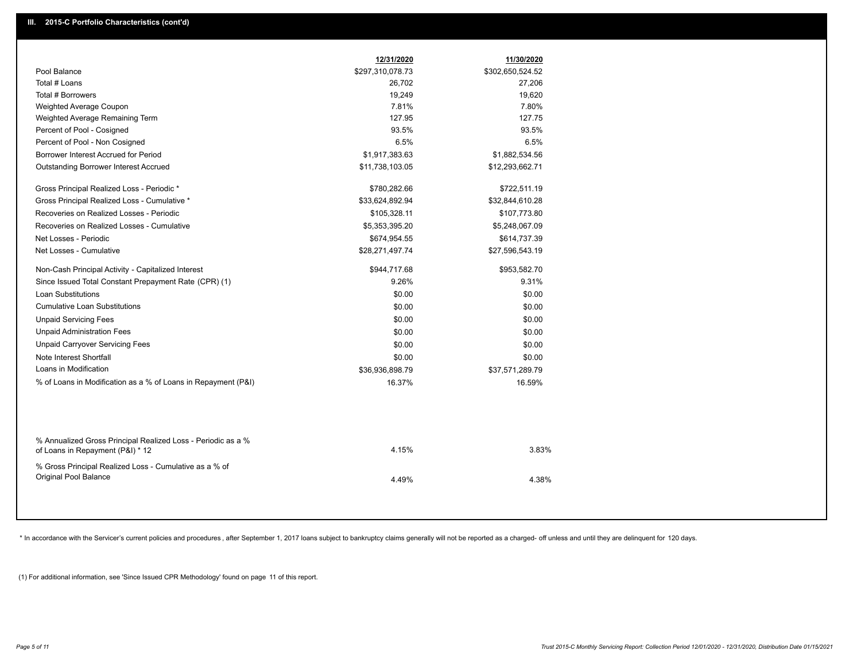| Pool Balance<br>\$297,310,078.73<br>\$302,650,524.52<br>Total # Loans<br>26,702<br>27,206<br>Total # Borrowers<br>19,620<br>19,249<br>7.81%<br>7.80%<br>Weighted Average Coupon<br>127.95<br>127.75<br>Weighted Average Remaining Term<br>93.5%<br>93.5%<br>Percent of Pool - Cosigned<br>6.5%<br>6.5%<br>Percent of Pool - Non Cosigned<br>Borrower Interest Accrued for Period<br>\$1,917,383.63<br>\$1,882,534.56<br>Outstanding Borrower Interest Accrued<br>\$11,738,103.05<br>\$12,293,662.71<br>Gross Principal Realized Loss - Periodic *<br>\$780,282.66<br>\$722,511.19<br>Gross Principal Realized Loss - Cumulative *<br>\$33,624,892.94<br>\$32,844,610.28<br>Recoveries on Realized Losses - Periodic<br>\$105,328.11<br>\$107,773.80<br>Recoveries on Realized Losses - Cumulative<br>\$5,353,395.20<br>\$5,248,067.09<br>Net Losses - Periodic<br>\$674,954.55<br>\$614,737.39<br>Net Losses - Cumulative<br>\$28,271,497.74<br>\$27,596,543.19<br>Non-Cash Principal Activity - Capitalized Interest<br>\$944,717.68<br>\$953,582.70<br>Since Issued Total Constant Prepayment Rate (CPR) (1)<br>9.26%<br>9.31%<br><b>Loan Substitutions</b><br>\$0.00<br>\$0.00<br><b>Cumulative Loan Substitutions</b><br>\$0.00<br>\$0.00<br><b>Unpaid Servicing Fees</b><br>\$0.00<br>\$0.00<br><b>Unpaid Administration Fees</b><br>\$0.00<br>\$0.00<br><b>Unpaid Carryover Servicing Fees</b><br>\$0.00<br>\$0.00<br>Note Interest Shortfall<br>\$0.00<br>\$0.00<br>Loans in Modification<br>\$36,936,898.79<br>\$37,571,289.79<br>% of Loans in Modification as a % of Loans in Repayment (P&I)<br>16.37%<br>16.59%<br>% Annualized Gross Principal Realized Loss - Periodic as a %<br>4.15%<br>3.83%<br>of Loans in Repayment (P&I) * 12<br>% Gross Principal Realized Loss - Cumulative as a % of<br>Original Pool Balance<br>4.49%<br>4.38% | 12/31/2020 | 11/30/2020 |  |
|--------------------------------------------------------------------------------------------------------------------------------------------------------------------------------------------------------------------------------------------------------------------------------------------------------------------------------------------------------------------------------------------------------------------------------------------------------------------------------------------------------------------------------------------------------------------------------------------------------------------------------------------------------------------------------------------------------------------------------------------------------------------------------------------------------------------------------------------------------------------------------------------------------------------------------------------------------------------------------------------------------------------------------------------------------------------------------------------------------------------------------------------------------------------------------------------------------------------------------------------------------------------------------------------------------------------------------------------------------------------------------------------------------------------------------------------------------------------------------------------------------------------------------------------------------------------------------------------------------------------------------------------------------------------------------------------------------------------------------------------------------------------------------------------------------------------------------------------------------|------------|------------|--|
|                                                                                                                                                                                                                                                                                                                                                                                                                                                                                                                                                                                                                                                                                                                                                                                                                                                                                                                                                                                                                                                                                                                                                                                                                                                                                                                                                                                                                                                                                                                                                                                                                                                                                                                                                                                                                                                        |            |            |  |
|                                                                                                                                                                                                                                                                                                                                                                                                                                                                                                                                                                                                                                                                                                                                                                                                                                                                                                                                                                                                                                                                                                                                                                                                                                                                                                                                                                                                                                                                                                                                                                                                                                                                                                                                                                                                                                                        |            |            |  |
|                                                                                                                                                                                                                                                                                                                                                                                                                                                                                                                                                                                                                                                                                                                                                                                                                                                                                                                                                                                                                                                                                                                                                                                                                                                                                                                                                                                                                                                                                                                                                                                                                                                                                                                                                                                                                                                        |            |            |  |
|                                                                                                                                                                                                                                                                                                                                                                                                                                                                                                                                                                                                                                                                                                                                                                                                                                                                                                                                                                                                                                                                                                                                                                                                                                                                                                                                                                                                                                                                                                                                                                                                                                                                                                                                                                                                                                                        |            |            |  |
|                                                                                                                                                                                                                                                                                                                                                                                                                                                                                                                                                                                                                                                                                                                                                                                                                                                                                                                                                                                                                                                                                                                                                                                                                                                                                                                                                                                                                                                                                                                                                                                                                                                                                                                                                                                                                                                        |            |            |  |
|                                                                                                                                                                                                                                                                                                                                                                                                                                                                                                                                                                                                                                                                                                                                                                                                                                                                                                                                                                                                                                                                                                                                                                                                                                                                                                                                                                                                                                                                                                                                                                                                                                                                                                                                                                                                                                                        |            |            |  |
|                                                                                                                                                                                                                                                                                                                                                                                                                                                                                                                                                                                                                                                                                                                                                                                                                                                                                                                                                                                                                                                                                                                                                                                                                                                                                                                                                                                                                                                                                                                                                                                                                                                                                                                                                                                                                                                        |            |            |  |
|                                                                                                                                                                                                                                                                                                                                                                                                                                                                                                                                                                                                                                                                                                                                                                                                                                                                                                                                                                                                                                                                                                                                                                                                                                                                                                                                                                                                                                                                                                                                                                                                                                                                                                                                                                                                                                                        |            |            |  |
|                                                                                                                                                                                                                                                                                                                                                                                                                                                                                                                                                                                                                                                                                                                                                                                                                                                                                                                                                                                                                                                                                                                                                                                                                                                                                                                                                                                                                                                                                                                                                                                                                                                                                                                                                                                                                                                        |            |            |  |
|                                                                                                                                                                                                                                                                                                                                                                                                                                                                                                                                                                                                                                                                                                                                                                                                                                                                                                                                                                                                                                                                                                                                                                                                                                                                                                                                                                                                                                                                                                                                                                                                                                                                                                                                                                                                                                                        |            |            |  |
|                                                                                                                                                                                                                                                                                                                                                                                                                                                                                                                                                                                                                                                                                                                                                                                                                                                                                                                                                                                                                                                                                                                                                                                                                                                                                                                                                                                                                                                                                                                                                                                                                                                                                                                                                                                                                                                        |            |            |  |
|                                                                                                                                                                                                                                                                                                                                                                                                                                                                                                                                                                                                                                                                                                                                                                                                                                                                                                                                                                                                                                                                                                                                                                                                                                                                                                                                                                                                                                                                                                                                                                                                                                                                                                                                                                                                                                                        |            |            |  |
|                                                                                                                                                                                                                                                                                                                                                                                                                                                                                                                                                                                                                                                                                                                                                                                                                                                                                                                                                                                                                                                                                                                                                                                                                                                                                                                                                                                                                                                                                                                                                                                                                                                                                                                                                                                                                                                        |            |            |  |
|                                                                                                                                                                                                                                                                                                                                                                                                                                                                                                                                                                                                                                                                                                                                                                                                                                                                                                                                                                                                                                                                                                                                                                                                                                                                                                                                                                                                                                                                                                                                                                                                                                                                                                                                                                                                                                                        |            |            |  |
|                                                                                                                                                                                                                                                                                                                                                                                                                                                                                                                                                                                                                                                                                                                                                                                                                                                                                                                                                                                                                                                                                                                                                                                                                                                                                                                                                                                                                                                                                                                                                                                                                                                                                                                                                                                                                                                        |            |            |  |
|                                                                                                                                                                                                                                                                                                                                                                                                                                                                                                                                                                                                                                                                                                                                                                                                                                                                                                                                                                                                                                                                                                                                                                                                                                                                                                                                                                                                                                                                                                                                                                                                                                                                                                                                                                                                                                                        |            |            |  |
|                                                                                                                                                                                                                                                                                                                                                                                                                                                                                                                                                                                                                                                                                                                                                                                                                                                                                                                                                                                                                                                                                                                                                                                                                                                                                                                                                                                                                                                                                                                                                                                                                                                                                                                                                                                                                                                        |            |            |  |
|                                                                                                                                                                                                                                                                                                                                                                                                                                                                                                                                                                                                                                                                                                                                                                                                                                                                                                                                                                                                                                                                                                                                                                                                                                                                                                                                                                                                                                                                                                                                                                                                                                                                                                                                                                                                                                                        |            |            |  |
|                                                                                                                                                                                                                                                                                                                                                                                                                                                                                                                                                                                                                                                                                                                                                                                                                                                                                                                                                                                                                                                                                                                                                                                                                                                                                                                                                                                                                                                                                                                                                                                                                                                                                                                                                                                                                                                        |            |            |  |
|                                                                                                                                                                                                                                                                                                                                                                                                                                                                                                                                                                                                                                                                                                                                                                                                                                                                                                                                                                                                                                                                                                                                                                                                                                                                                                                                                                                                                                                                                                                                                                                                                                                                                                                                                                                                                                                        |            |            |  |
|                                                                                                                                                                                                                                                                                                                                                                                                                                                                                                                                                                                                                                                                                                                                                                                                                                                                                                                                                                                                                                                                                                                                                                                                                                                                                                                                                                                                                                                                                                                                                                                                                                                                                                                                                                                                                                                        |            |            |  |
|                                                                                                                                                                                                                                                                                                                                                                                                                                                                                                                                                                                                                                                                                                                                                                                                                                                                                                                                                                                                                                                                                                                                                                                                                                                                                                                                                                                                                                                                                                                                                                                                                                                                                                                                                                                                                                                        |            |            |  |
|                                                                                                                                                                                                                                                                                                                                                                                                                                                                                                                                                                                                                                                                                                                                                                                                                                                                                                                                                                                                                                                                                                                                                                                                                                                                                                                                                                                                                                                                                                                                                                                                                                                                                                                                                                                                                                                        |            |            |  |
|                                                                                                                                                                                                                                                                                                                                                                                                                                                                                                                                                                                                                                                                                                                                                                                                                                                                                                                                                                                                                                                                                                                                                                                                                                                                                                                                                                                                                                                                                                                                                                                                                                                                                                                                                                                                                                                        |            |            |  |
|                                                                                                                                                                                                                                                                                                                                                                                                                                                                                                                                                                                                                                                                                                                                                                                                                                                                                                                                                                                                                                                                                                                                                                                                                                                                                                                                                                                                                                                                                                                                                                                                                                                                                                                                                                                                                                                        |            |            |  |
|                                                                                                                                                                                                                                                                                                                                                                                                                                                                                                                                                                                                                                                                                                                                                                                                                                                                                                                                                                                                                                                                                                                                                                                                                                                                                                                                                                                                                                                                                                                                                                                                                                                                                                                                                                                                                                                        |            |            |  |
|                                                                                                                                                                                                                                                                                                                                                                                                                                                                                                                                                                                                                                                                                                                                                                                                                                                                                                                                                                                                                                                                                                                                                                                                                                                                                                                                                                                                                                                                                                                                                                                                                                                                                                                                                                                                                                                        |            |            |  |
|                                                                                                                                                                                                                                                                                                                                                                                                                                                                                                                                                                                                                                                                                                                                                                                                                                                                                                                                                                                                                                                                                                                                                                                                                                                                                                                                                                                                                                                                                                                                                                                                                                                                                                                                                                                                                                                        |            |            |  |

\* In accordance with the Servicer's current policies and procedures, after September 1, 2017 loans subject to bankruptcy claims generally will not be reported as a charged- off unless and until they are delinquent for 120

(1) For additional information, see 'Since Issued CPR Methodology' found on page 11 of this report.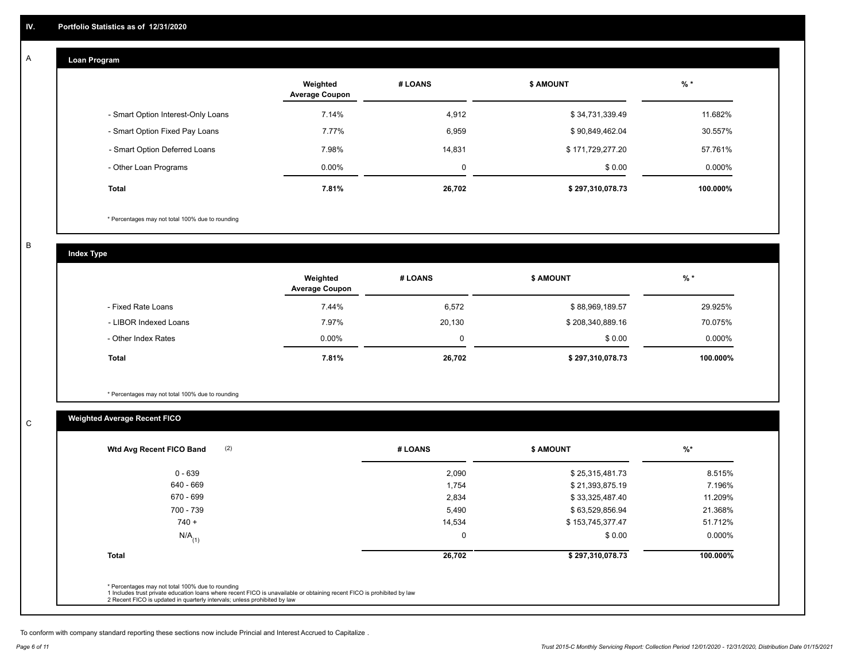#### **Loan Program**  A

|                                    | Weighted<br><b>Average Coupon</b> | # LOANS | <b>\$ AMOUNT</b> | $%$ *    |
|------------------------------------|-----------------------------------|---------|------------------|----------|
| - Smart Option Interest-Only Loans | 7.14%                             | 4,912   | \$34,731,339.49  | 11.682%  |
| - Smart Option Fixed Pay Loans     | 7.77%                             | 6,959   | \$90,849,462.04  | 30.557%  |
| - Smart Option Deferred Loans      | 7.98%                             | 14.831  | \$171,729,277.20 | 57.761%  |
| - Other Loan Programs              | $0.00\%$                          | 0       | \$0.00           | 0.000%   |
| <b>Total</b>                       | 7.81%                             | 26,702  | \$297,310,078.73 | 100.000% |

\* Percentages may not total 100% due to rounding

B

C

**Index Type**

|                       | Weighted<br><b>Average Coupon</b> | # LOANS | <b>\$ AMOUNT</b> | $%$ *     |
|-----------------------|-----------------------------------|---------|------------------|-----------|
| - Fixed Rate Loans    | 7.44%                             | 6,572   | \$88,969,189.57  | 29.925%   |
| - LIBOR Indexed Loans | 7.97%                             | 20,130  | \$208,340,889.16 | 70.075%   |
| - Other Index Rates   | $0.00\%$                          | 0       | \$0.00           | $0.000\%$ |
| Total                 | 7.81%                             | 26,702  | \$297,310,078.73 | 100.000%  |

\* Percentages may not total 100% due to rounding

### **Weighted Average Recent FICO**

| $0 - 639$            | 2,090       | \$25,315,481.73  | 8.515%    |
|----------------------|-------------|------------------|-----------|
| 640 - 669            | 1,754       | \$21,393,875.19  | 7.196%    |
| 670 - 699            | 2,834       | \$33,325,487.40  | 11.209%   |
| 700 - 739            | 5,490       | \$63,529,856.94  | 21.368%   |
| $740 +$              | 14,534      | \$153,745,377.47 | 51.712%   |
| $N/A$ <sub>(1)</sub> | $\mathbf 0$ | \$0.00           | $0.000\%$ |
| <b>Total</b>         | 26,702      | \$297,310,078.73 | 100.000%  |
|                      |             |                  |           |

To conform with company standard reporting these sections now include Princial and Interest Accrued to Capitalize .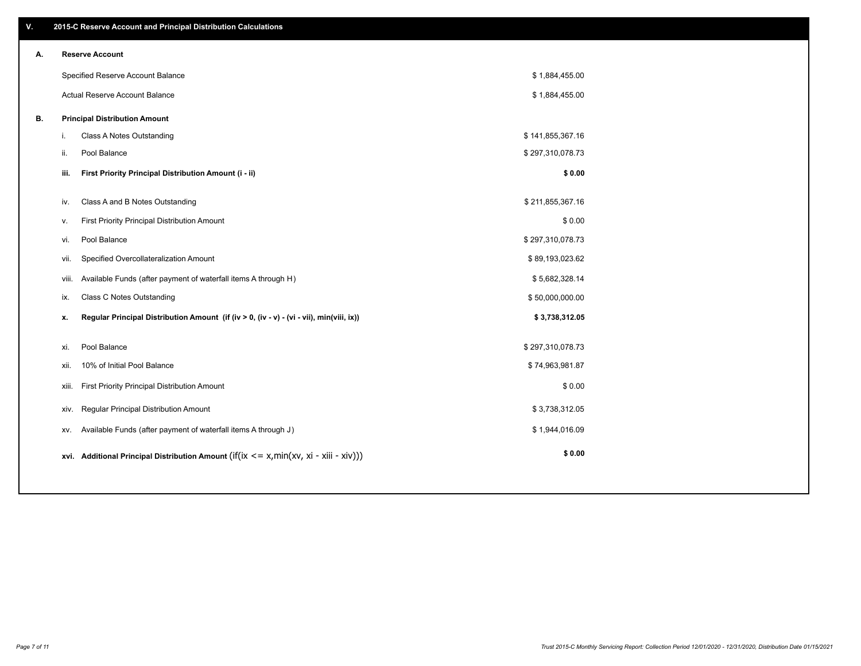| V. |     | 2015-C Reserve Account and Principal Distribution Calculations                             |                  |  |  |  |  |  |  |  |  |
|----|-----|--------------------------------------------------------------------------------------------|------------------|--|--|--|--|--|--|--|--|
| А. |     | <b>Reserve Account</b>                                                                     |                  |  |  |  |  |  |  |  |  |
|    |     | Specified Reserve Account Balance                                                          | \$1,884,455.00   |  |  |  |  |  |  |  |  |
|    |     | Actual Reserve Account Balance                                                             | \$1,884,455.00   |  |  |  |  |  |  |  |  |
| В. |     | <b>Principal Distribution Amount</b>                                                       |                  |  |  |  |  |  |  |  |  |
|    | i.  | Class A Notes Outstanding                                                                  | \$141,855,367.16 |  |  |  |  |  |  |  |  |
|    | ji. | Pool Balance                                                                               | \$297,310,078.73 |  |  |  |  |  |  |  |  |
|    |     | First Priority Principal Distribution Amount (i - ii)<br>iii.                              | \$0.00           |  |  |  |  |  |  |  |  |
|    | iv. | Class A and B Notes Outstanding                                                            | \$211,855,367.16 |  |  |  |  |  |  |  |  |
|    | v.  | First Priority Principal Distribution Amount                                               | \$0.00           |  |  |  |  |  |  |  |  |
|    |     |                                                                                            |                  |  |  |  |  |  |  |  |  |
|    |     | Pool Balance<br>vi.                                                                        | \$297,310,078.73 |  |  |  |  |  |  |  |  |
|    |     | Specified Overcollateralization Amount<br>vii.                                             | \$89,193,023.62  |  |  |  |  |  |  |  |  |
|    |     | Available Funds (after payment of waterfall items A through H)<br>viii.                    | \$5,682,328.14   |  |  |  |  |  |  |  |  |
|    | ix. | <b>Class C Notes Outstanding</b>                                                           | \$50,000,000.00  |  |  |  |  |  |  |  |  |
|    | х.  | Regular Principal Distribution Amount (if (iv > 0, (iv - v) - (vi - vii), min(viii, ix))   | \$3,738,312.05   |  |  |  |  |  |  |  |  |
|    | xi. | Pool Balance                                                                               | \$297,310,078.73 |  |  |  |  |  |  |  |  |
|    |     |                                                                                            |                  |  |  |  |  |  |  |  |  |
|    |     | 10% of Initial Pool Balance<br>xii.                                                        | \$74,963,981.87  |  |  |  |  |  |  |  |  |
|    |     | First Priority Principal Distribution Amount<br>xiii.                                      | \$0.00           |  |  |  |  |  |  |  |  |
|    |     | Regular Principal Distribution Amount<br>XIV.                                              | \$3,738,312.05   |  |  |  |  |  |  |  |  |
|    |     | Available Funds (after payment of waterfall items A through J)<br>XV.                      | \$1,944,016.09   |  |  |  |  |  |  |  |  |
|    |     | xvi. Additional Principal Distribution Amount (if(ix $\lt$ = x, min(xv, xi - xiii - xiv))) | \$0.00           |  |  |  |  |  |  |  |  |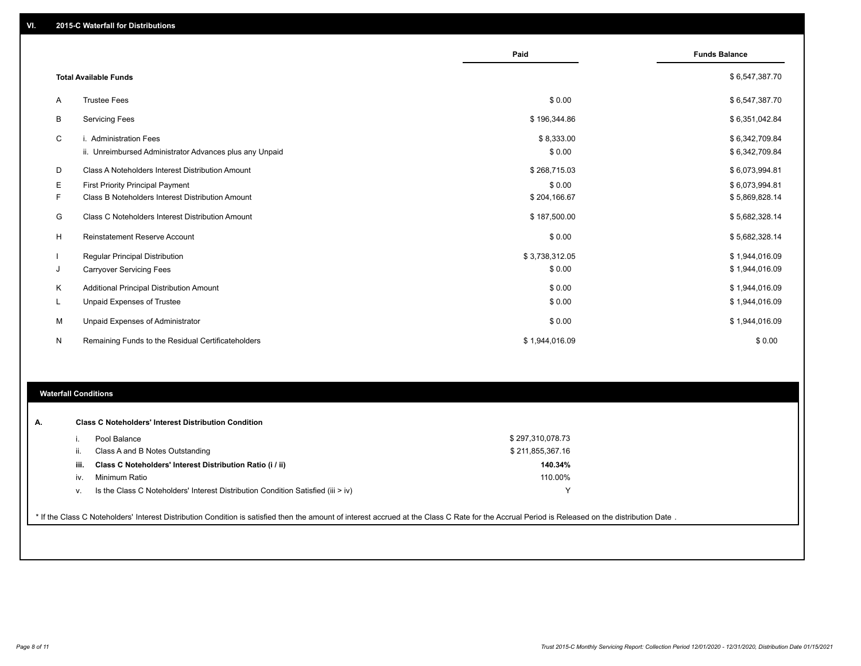|   |                                                         | Paid           | <b>Funds Balance</b> |
|---|---------------------------------------------------------|----------------|----------------------|
|   | <b>Total Available Funds</b>                            |                | \$6,547,387.70       |
| A | <b>Trustee Fees</b>                                     | \$0.00         | \$6,547,387.70       |
| В | <b>Servicing Fees</b>                                   | \$196,344.86   | \$6,351,042.84       |
| C | i. Administration Fees                                  | \$8,333.00     | \$6,342,709.84       |
|   | ii. Unreimbursed Administrator Advances plus any Unpaid | \$0.00         | \$6,342,709.84       |
| D | Class A Noteholders Interest Distribution Amount        | \$268,715.03   | \$6,073,994.81       |
| Е | <b>First Priority Principal Payment</b>                 | \$0.00         | \$6,073,994.81       |
| F | Class B Noteholders Interest Distribution Amount        | \$204,166.67   | \$5,869,828.14       |
| G | Class C Noteholders Interest Distribution Amount        | \$187,500.00   | \$5,682,328.14       |
| H | <b>Reinstatement Reserve Account</b>                    | \$0.00         | \$5,682,328.14       |
|   | Regular Principal Distribution                          | \$3,738,312.05 | \$1,944,016.09       |
| J | <b>Carryover Servicing Fees</b>                         | \$0.00         | \$1,944,016.09       |
| К | Additional Principal Distribution Amount                | \$0.00         | \$1,944,016.09       |
| L | <b>Unpaid Expenses of Trustee</b>                       | \$0.00         | \$1,944,016.09       |
| М | Unpaid Expenses of Administrator                        | \$0.00         | \$1,944,016.09       |
| N | Remaining Funds to the Residual Certificateholders      | \$1,944,016.09 | \$0.00               |

#### **Waterfall Conditions**

|      | Pool Balance                                                                       | \$297,310,078.73 |
|------|------------------------------------------------------------------------------------|------------------|
| ш.   | Class A and B Notes Outstanding                                                    | \$211,855,367.16 |
| iii. | Class C Noteholders' Interest Distribution Ratio (i / ii)                          | 140.34%          |
| iv.  | Minimum Ratio                                                                      | 110.00%          |
| V.   | Is the Class C Noteholders' Interest Distribution Condition Satisfied (iii $>$ iv) |                  |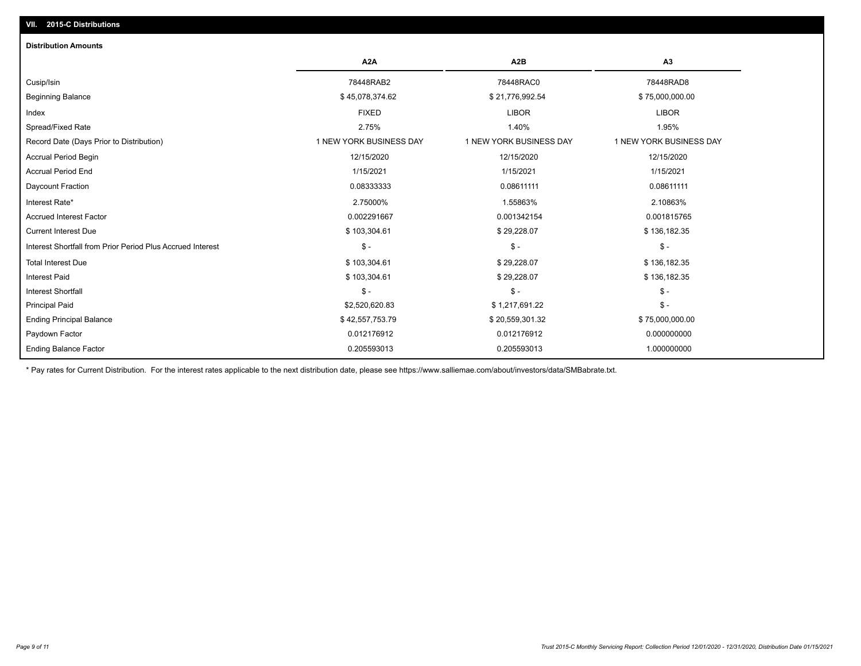## Ending Balance Factor Paydown Factor 0.012176912 0.012176912 0.000000000 Ending Principal Balance \$ 75,000,000.00 \$ 342,557,753.79 \$ 32,557,753.79 \$ \$ 20,559,301.32 Principal Paid \$2,520,620.83 \$ 1,217,691.22 \$ - Interest Shortfall \$ - \$ - \$ - Interest Paid \$ 103,304.61 \$ 29,228.07 \$ 136,182.35 Total Interest Due \$ 103,304.61 \$ 29,228.07 \$ 136,182.35 Interest Shortfall from Prior Period Plus Accrued Interest \$ - \$ - \$ - Current Interest Due \$ 103,304.61 \$ 29,228.07 \$ 136,182.35 Accrued Interest Factor 0.002291667 0.001342154 0.001815765 Interest Rate\* 2.75000% 1.55863% 2.10863% Daycount Fraction 0.08333333 0.08611111 0.08611111 Accrual Period End 1/15/2021 1/15/2021 1/15/2021 Accrual Period Begin 12/15/2020 12/15/2020 12/15/2020 Record Date (Days Prior to Distribution) 1 1 NEW YORK BUSINESS DAY 1 NEW YORK BUSINESS DAY 1 NEW YORK BUSINESS DAY Spread/Fixed Rate 2.75% 1.40% 1.95% Index FIXED LIBOR LIBOR Beginning Balance \$ 45,078,374.62 \$ 21,776,992.54 \$ 75,000,000.00 Cusip/Isin 78448RAB2 78448RAC0 78448RAD8 **A2A A2B A3** 0.205593013 0.205593013 1.000000000 **Distribution Amounts**

\* Pay rates for Current Distribution. For the interest rates applicable to the next distribution date, please see https://www.salliemae.com/about/investors/data/SMBabrate.txt.

**VII. 2015-C Distributions**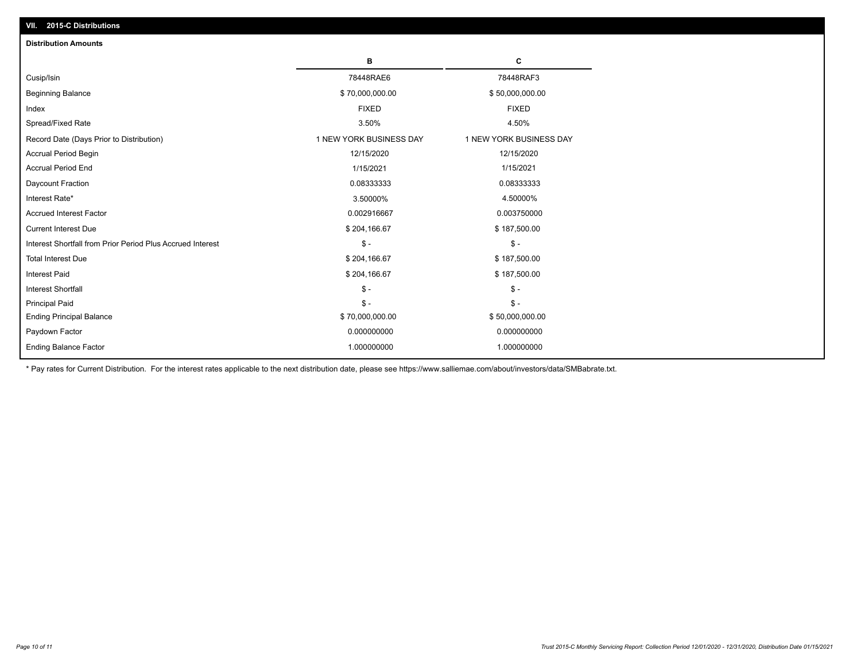| <b>Distribution Amounts</b>                                |                         |                         |  |  |  |
|------------------------------------------------------------|-------------------------|-------------------------|--|--|--|
|                                                            | в                       | c                       |  |  |  |
| Cusip/Isin                                                 | 78448RAE6               | 78448RAF3               |  |  |  |
| <b>Beginning Balance</b>                                   | \$70,000,000.00         | \$50,000,000.00         |  |  |  |
| Index                                                      | <b>FIXED</b>            | <b>FIXED</b>            |  |  |  |
| Spread/Fixed Rate                                          | 3.50%                   | 4.50%                   |  |  |  |
| Record Date (Days Prior to Distribution)                   | 1 NEW YORK BUSINESS DAY | 1 NEW YORK BUSINESS DAY |  |  |  |
| <b>Accrual Period Begin</b>                                | 12/15/2020              | 12/15/2020              |  |  |  |
| <b>Accrual Period End</b>                                  | 1/15/2021               | 1/15/2021               |  |  |  |
| Daycount Fraction                                          | 0.08333333              | 0.08333333              |  |  |  |
| Interest Rate*                                             | 3.50000%                | 4.50000%                |  |  |  |
| <b>Accrued Interest Factor</b>                             | 0.002916667             | 0.003750000             |  |  |  |
| <b>Current Interest Due</b>                                | \$204,166.67            | \$187,500.00            |  |  |  |
| Interest Shortfall from Prior Period Plus Accrued Interest | $\mathcal{S}$ -         | $\mathcal{S}$ -         |  |  |  |
| <b>Total Interest Due</b>                                  | \$204,166.67            | \$187,500.00            |  |  |  |
| Interest Paid                                              | \$204,166.67            | \$187,500.00            |  |  |  |
| <b>Interest Shortfall</b>                                  | $\mathcal{S}$ -         | $\mathsf{\$}$ -         |  |  |  |
| <b>Principal Paid</b>                                      | $\mathsf{\$}$ -         | $\mathsf{\$}$ -         |  |  |  |
| <b>Ending Principal Balance</b>                            | \$70,000,000.00         | \$50,000,000.00         |  |  |  |
| Paydown Factor                                             | 0.000000000             | 0.000000000             |  |  |  |
| <b>Ending Balance Factor</b>                               | 1.000000000             | 1.000000000             |  |  |  |

\* Pay rates for Current Distribution. For the interest rates applicable to the next distribution date, please see https://www.salliemae.com/about/investors/data/SMBabrate.txt.

**VII. 2015-C Distributions**